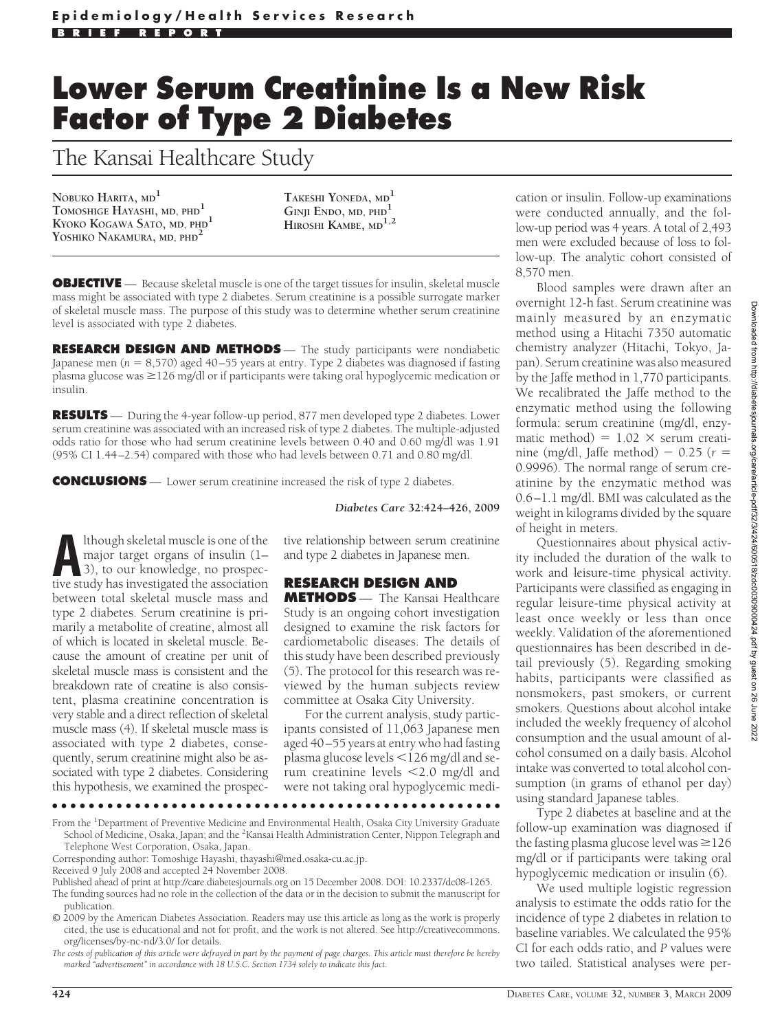## **Lower Serum Creatinine Is a New Risk Factor of Type 2 Diabetes**

The Kansai Healthcare Study

**NOBUKO HARITA, MD<sup>1</sup> TOMOSHIGE HAYASHI, MD, PHD<sup>1</sup> KYOKO KOGAWA SATO, MD, PHD<sup>1</sup> YOSHIKO NAKAMURA, MD, PHD<sup>2</sup>**

**TAKESHI YONEDA, MD<sup>1</sup> GINJI ENDO, MD, PHD<sup>1</sup> HIROSHI KAMBE, MD1,2**

**OBJECTIVE** — Because skeletal muscle is one of the target tissues for insulin, skeletal muscle mass might be associated with type 2 diabetes. Serum creatinine is a possible surrogate marker of skeletal muscle mass. The purpose of this study was to determine whether serum creatinine level is associated with type 2 diabetes.

**RESEARCH DESIGN AND METHODS** — The study participants were nondiabetic Japanese men (*n* = 8,570) aged 40–55 years at entry. Type 2 diabetes was diagnosed if fasting plasma glucose was  $\geq$ 126 mg/dl or if participants were taking oral hypoglycemic medication or insulin.

**RESULTS** — During the 4-year follow-up period, 877 men developed type 2 diabetes. Lower serum creatinine was associated with an increased risk of type 2 diabetes. The multiple-adjusted odds ratio for those who had serum creatinine levels between 0.40 and 0.60 mg/dl was 1.91 (95% CI 1.44–2.54) compared with those who had levels between 0.71 and 0.80 mg/dl.

**CONCLUSIONS** — Lower serum creatinine increased the risk of type 2 diabetes.

*Diabetes Care* **32:424–426, 2009**

Ithough skeletal muscle is one of the<br>major target organs of insulin (1–<br>3), to our knowledge, no prospec-<br>tive study has investigated the association major target organs of insulin (1– 3), to our knowledge, no prospective study has investigated the association between total skeletal muscle mass and type 2 diabetes. Serum creatinine is primarily a metabolite of creatine, almost all of which is located in skeletal muscle. Because the amount of creatine per unit of skeletal muscle mass is consistent and the breakdown rate of creatine is also consistent, plasma creatinine concentration is very stable and a direct reflection of skeletal muscle mass (4). If skeletal muscle mass is associated with type 2 diabetes, consequently, serum creatinine might also be associated with type 2 diabetes. Considering this hypothesis, we examined the prospec-

tive relationship between serum creatinine and type 2 diabetes in Japanese men.

## **RESEARCH DESIGN AND**

**METHODS** — The Kansai Healthcare Study is an ongoing cohort investigation designed to examine the risk factors for cardiometabolic diseases. The details of this study have been described previously (5). The protocol for this research was reviewed by the human subjects review committee at Osaka City University.

For the current analysis, study participants consisted of 11,063 Japanese men aged 40–55 years at entry who had fasting plasma glucose levels -126 mg/dl and serum creatinine levels -2.0 mg/dl and were not taking oral hypoglycemic medi-

●●●●●●●●●●●●●●●●●●●●●●●●●●●●●●●●●●●●●●●●●●●●●●●●●

From the <sup>1</sup>Department of Preventive Medicine and Environmental Health, Osaka City University Graduate School of Medicine, Osaka, Japan; and the <sup>2</sup>Kansai Health Administration Center, Nippon Telegraph and Telephone West Corporation, Osaka, Japan.

Corresponding author: Tomoshige Hayashi, thayashi@med.osaka-cu.ac.jp.

Published ahead of print at http://care.diabetesjournals.org on 15 December 2008. DOI: 10.2337/dc08-1265. The funding sources had no role in the collection of the data or in the decision to submit the manuscript for publication.

© 2009 by the American Diabetes Association. Readers may use this article as long as the work is properly cited, the use is educational and not for profit, and the work is not altered. See http://creativecommons. org/licenses/by-nc-nd/3.0/ for details.

*The costs of publication of this article were defrayed in part by the payment of page charges. This article must therefore be hereby marked "advertisement" in accordance with 18 U.S.C. Section 1734 solely to indicate this fact.*

cation or insulin. Follow-up examinations were conducted annually, and the follow-up period was 4 years. A total of 2,493 men were excluded because of loss to follow-up. The analytic cohort consisted of 8,570 men.

Blood samples were drawn after an overnight 12-h fast. Serum creatinine was mainly measured by an enzymatic method using a Hitachi 7350 automatic chemistry analyzer (Hitachi, Tokyo, Japan). Serum creatinine was also measured by the Jaffe method in 1,770 participants. We recalibrated the Jaffe method to the enzymatic method using the following formula: serum creatinine (mg/dl, enzymatic method) =  $1.02 \times$  serum creatinine (mg/dl, Jaffe method)  $-$  0.25 ( $r =$ 0.9996). The normal range of serum creatinine by the enzymatic method was 0.6–1.1 mg/dl. BMI was calculated as the weight in kilograms divided by the square of height in meters.

Questionnaires about physical activity included the duration of the walk to work and leisure-time physical activity. Participants were classified as engaging in regular leisure-time physical activity at least once weekly or less than once weekly. Validation of the aforementioned questionnaires has been described in detail previously (5). Regarding smoking habits, participants were classified as nonsmokers, past smokers, or current smokers. Questions about alcohol intake included the weekly frequency of alcohol consumption and the usual amount of alcohol consumed on a daily basis. Alcohol intake was converted to total alcohol consumption (in grams of ethanol per day) using standard Japanese tables.

Type 2 diabetes at baseline and at the follow-up examination was diagnosed if the fasting plasma glucose level was  $\geq$  126 mg/dl or if participants were taking oral hypoglycemic medication or insulin (6).

We used multiple logistic regression analysis to estimate the odds ratio for the incidence of type 2 diabetes in relation to baseline variables. We calculated the 95% CI for each odds ratio, and *P* values were two tailed. Statistical analyses were per-

Received 9 July 2008 and accepted 24 November 2008.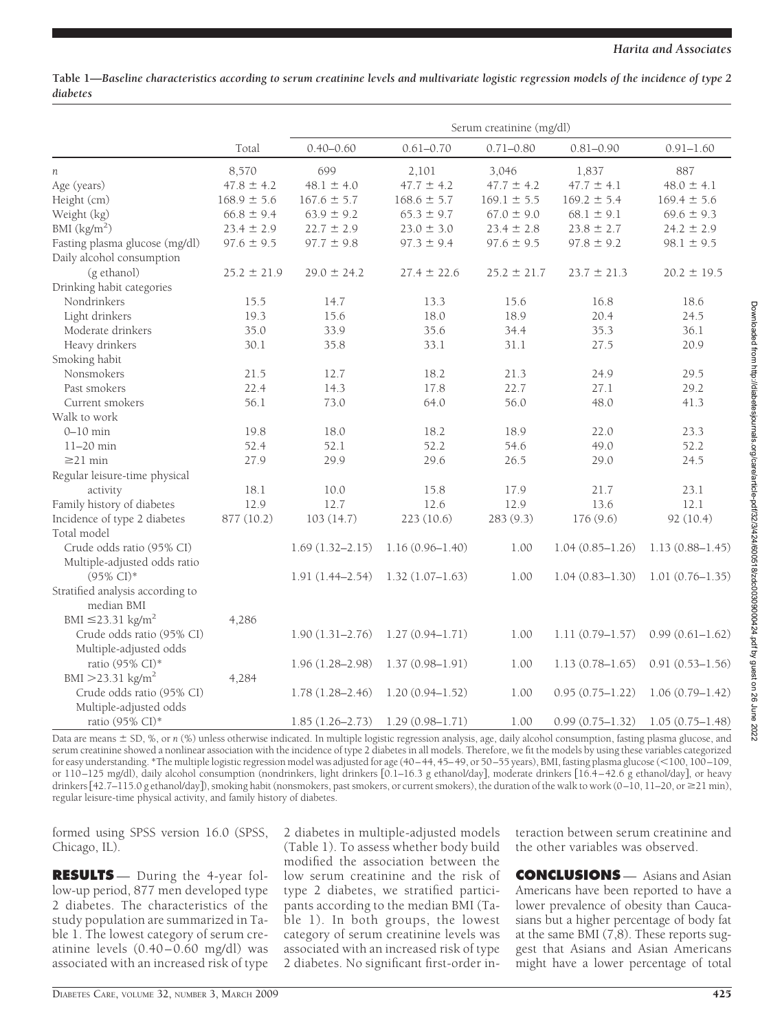**Table 1—***Baseline characteristics according to serum creatinine levels and multivariate logistic regression models of the incidence of type 2 diabetes*

|                                    |                 | Serum creatinine (mg/dl) |                     |                 |                     |                     |
|------------------------------------|-----------------|--------------------------|---------------------|-----------------|---------------------|---------------------|
|                                    | Total           | $0.40 - 0.60$            | $0.61 - 0.70$       | $0.71 - 0.80$   | $0.81 - 0.90$       | $0.91 - 1.60$       |
| п                                  | 8,570           | 699                      | 2,101               | 3,046           | 1,837               | 887                 |
| Age (years)                        | $47.8 \pm 4.2$  | $48.1 \pm 4.0$           | $47.7 \pm 4.2$      | $47.7 \pm 4.2$  | $47.7 \pm 4.1$      | $48.0 \pm 4.1$      |
| Height (cm)                        | $168.9 \pm 5.6$ | $167.6 \pm 5.7$          | $168.6 \pm 5.7$     | $169.1 \pm 5.5$ | $169.2 \pm 5.4$     | $169.4 \pm 5.6$     |
| Weight (kg)                        | $66.8 \pm 9.4$  | $63.9 \pm 9.2$           | $65.3 \pm 9.7$      | $67.0 \pm 9.0$  | $68.1 \pm 9.1$      | $69.6 \pm 9.3$      |
| BMI $(kg/m2)$                      | $23.4 \pm 2.9$  | $22.7 \pm 2.9$           | $23.0 \pm 3.0$      | $23.4 \pm 2.8$  | $23.8 \pm 2.7$      | $24.2 \pm 2.9$      |
| Fasting plasma glucose (mg/dl)     | $97.6 \pm 9.5$  | $97.7 \pm 9.8$           | $97.3 \pm 9.4$      | $97.6 \pm 9.5$  | $97.8 \pm 9.2$      | $98.1 \pm 9.5$      |
| Daily alcohol consumption          |                 |                          |                     |                 |                     |                     |
| (g ethanol)                        | $25.2 \pm 21.9$ | $29.0 \pm 24.2$          | $27.4 \pm 22.6$     | $25.2 \pm 21.7$ | $23.7 \pm 21.3$     | $20.2 \pm 19.5$     |
| Drinking habit categories          |                 |                          |                     |                 |                     |                     |
| Nondrinkers                        | 15.5            | 14.7                     | 13.3                | 15.6            | 16.8                | 18.6                |
| Light drinkers                     | 19.3            | 15.6                     | 18.0                | 18.9            | 20.4                | 24.5                |
| Moderate drinkers                  | 35.0            | 33.9                     | 35.6                | 34.4            | 35.3                | 36.1                |
| Heavy drinkers                     | 30.1            | 35.8                     | 33.1                | 31.1            | 27.5                | 20.9                |
| Smoking habit                      |                 |                          |                     |                 |                     |                     |
| Nonsmokers                         | 21.5            | 12.7                     | 18.2                | 21.3            | 24.9                | 29.5                |
| Past smokers                       | 22.4            | 14.3                     | 17.8                | 22.7            | 27.1                | 29.2                |
| Current smokers                    | 56.1            | 73.0                     | 64.0                | 56.0            | 48.0                | 41.3                |
| Walk to work                       |                 |                          |                     |                 |                     |                     |
| $0-10$ min                         | 19.8            | 18.0                     | 18.2                | 18.9            | 22.0                | 23.3                |
| $11-20$ min                        | 52.4            | 52.1                     | 52.2                | 54.6            | 49.0                | 52.2                |
| $\geq$ 21 min                      | 27.9            | 29.9                     | 29.6                | 26.5            | 29.0                | 24.5                |
| Regular leisure-time physical      |                 |                          |                     |                 |                     |                     |
| activity                           | 18.1            | 10.0                     | 15.8                | 17.9            | 21.7                | 23.1                |
| Family history of diabetes         | 12.9            | 12.7                     | 12.6                | 12.9            | 13.6                | 12.1                |
| Incidence of type 2 diabetes       | 877 (10.2)      | 103(14.7)                | 223 (10.6)          | 283 (9.3)       | 176 (9.6)           | 92 (10.4)           |
| Total model                        |                 |                          |                     |                 |                     |                     |
| Crude odds ratio (95% CI)          |                 | $1.69(1.32 - 2.15)$      | $1.16(0.96 - 1.40)$ | 1.00            | $1.04(0.85 - 1.26)$ | $1.13(0.88 - 1.45)$ |
| Multiple-adjusted odds ratio       |                 |                          |                     |                 |                     |                     |
| $(95\% \text{ CI})^*$              |                 | $1.91(1.44 - 2.54)$      | $1.32(1.07-1.63)$   | 1.00            | $1.04(0.83 - 1.30)$ | $1.01(0.76 - 1.35)$ |
| Stratified analysis according to   |                 |                          |                     |                 |                     |                     |
| median BMI                         |                 |                          |                     |                 |                     |                     |
| BMI $\leq$ 23.31 kg/m <sup>2</sup> | 4,286           |                          |                     |                 |                     |                     |
| Crude odds ratio (95% CI)          |                 | $1.90(1.31 - 2.76)$      | $1.27(0.94 - 1.71)$ | 1.00            | $1.11(0.79 - 1.57)$ | $0.99(0.61 - 1.62)$ |
| Multiple-adjusted odds             |                 |                          |                     |                 |                     |                     |
| ratio (95% CI)*                    |                 | $1.96(1.28 - 2.98)$      | $1.37(0.98 - 1.91)$ | 1.00            | $1.13(0.78 - 1.65)$ | $0.91(0.53 - 1.56)$ |
| $BMI > 23.31$ kg/m <sup>2</sup>    | 4,284           |                          |                     |                 |                     |                     |
| Crude odds ratio (95% CI)          |                 | $1.78(1.28 - 2.46)$      | $1.20(0.94 - 1.52)$ | 1.00            | $0.95(0.75 - 1.22)$ | $1.06(0.79 - 1.42)$ |
| Multiple-adjusted odds             |                 |                          |                     |                 |                     |                     |
| ratio (95% CI)*                    |                 | $1.85(1.26 - 2.73)$      | $1.29(0.98 - 1.71)$ | 1.00            | $0.99(0.75 - 1.32)$ | $1.05(0.75 - 1.48)$ |

Data are means  $\pm$  SD, %, or *n* (%) unless otherwise indicated. In multiple logistic regression analysis, age, daily alcohol consumption, fasting plasma glucose, and serum creatinine showed a nonlinear association with the incidence of type 2 diabetes in all models. Therefore, we fit the models by using these variables categorized for easy understanding. \*The multiple logistic regression model was adjusted for age (40–44, 45–49, or 50–55 years), BMI, fasting plasma glucose (-100, 100–109, or 110–125 mg/dl), daily alcohol consumption (nondrinkers, light drinkers [0.1–16.3 g ethanol/day], moderate drinkers [16.4–42.6 g ethanol/day], or heavy drinkers [42.7–115.0 g ethanol/day]), smoking habit (nonsmokers, past smokers, or current smokers), the duration of the walk to work (0–10, 11–20, or ≥21 min), regular leisure-time physical activity, and family history of diabetes.

formed using SPSS version 16.0 (SPSS, Chicago, IL).

**RESULTS** — During the 4-year follow-up period, 877 men developed type 2 diabetes. The characteristics of the study population are summarized in Table 1. The lowest category of serum creatinine levels (0.40–0.60 mg/dl) was associated with an increased risk of type

2 diabetes in multiple-adjusted models (Table 1). To assess whether body build modified the association between the low serum creatinine and the risk of type 2 diabetes, we stratified participants according to the median BMI (Table 1). In both groups, the lowest category of serum creatinine levels was associated with an increased risk of type 2 diabetes. No significant first-order interaction between serum creatinine and the other variables was observed.

**CONCLUSIONS** — Asians and Asian Americans have been reported to have a lower prevalence of obesity than Caucasians but a higher percentage of body fat at the same BMI (7,8). These reports suggest that Asians and Asian Americans might have a lower percentage of total